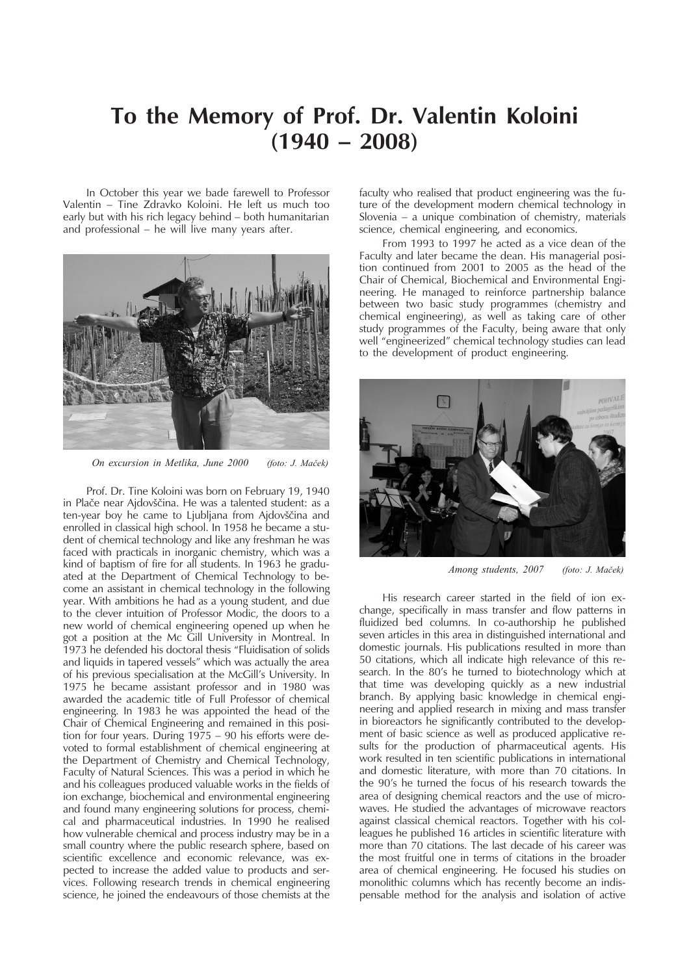## **To the Memory of Prof. Dr. Valentin Koloini (1940 – 2008)**

In October this year we bade farewell to Professor Valentin – Tine Zdravko Koloini. He left us much too early but with his rich legacy behind – both humanitarian and professional  $-$  he will live many years after.



*On excursion in Metlika, June 2000 (foto: J. Maèek)*

Prof. Dr. Tine Koloini was born on February 19, 1940 in Plaèe near Ajdovšèina. He was a talented student: as a ten-year boy he came to Ljubljana from Ajdovšèina and enrolled in classical high school. In 1958 he became a student of chemical technology and like any freshman he was faced with practicals in inorganic chemistry, which was a kind of baptism of fire for all students. In 1963 he graduated at the Department of Chemical Technology to become an assistant in chemical technology in the following year. With ambitions he had as a young student, and due to the clever intuition of Professor Modic, the doors to a new world of chemical engineering opened up when he got a position at the Mc Gill University in Montreal. In 1973 he defended his doctoral thesis "Fluidisation of solids and liquids in tapered vessels" which was actually the area of his previous specialisation at the McGill's University. In 1975 he became assistant professor and in 1980 was awarded the academic title of Full Professor of chemical engineering. In 1983 he was appointed the head of the Chair of Chemical Engineering and remained in this position for four years. During 1975 – 90 his efforts were devoted to formal establishment of chemical engineering at the Department of Chemistry and Chemical Technology, Faculty of Natural Sciences. This was a period in which he and his colleagues produced valuable works in the fields of ion exchange, biochemical and environmental engineering and found many engineering solutions for process, chemical and pharmaceutical industries. In 1990 he realised how vulnerable chemical and process industry may be in a small country where the public research sphere, based on scientific excellence and economic relevance, was expected to increase the added value to products and services. Following research trends in chemical engineering science, he joined the endeavours of those chemists at the

faculty who realised that product engineering was the future of the development modern chemical technology in Slovenia – a unique combination of chemistry, materials science, chemical engineering, and economics.

From 1993 to 1997 he acted as a vice dean of the Faculty and later became the dean. His managerial position continued from 2001 to 2005 as the head of the Chair of Chemical, Biochemical and Environmental Engineering. He managed to reinforce partnership balance between two basic study programmes (chemistry and chemical engineering), as well as taking care of other study programmes of the Faculty, being aware that only well "engineerized" chemical technology studies can lead to the development of product engineering.



*Among students, 2007 (foto: J. Maèek)*

His research career started in the field of ion exchange, specifically in mass transfer and flow patterns in fluidized bed columns. In co-authorship he published seven articles in this area in distinguished international and domestic journals. His publications resulted in more than 50 citations, which all indicate high relevance of this research. In the 80's he turned to biotechnology which at that time was developing quickly as a new industrial branch. By applying basic knowledge in chemical engineering and applied research in mixing and mass transfer in bioreactors he significantly contributed to the development of basic science as well as produced applicative results for the production of pharmaceutical agents. His work resulted in ten scientific publications in international and domestic literature, with more than 70 citations. In the 90's he turned the focus of his research towards the area of designing chemical reactors and the use of microwaves. He studied the advantages of microwave reactors against classical chemical reactors. Together with his colleagues he published 16 articles in scientific literature with more than 70 citations. The last decade of his career was the most fruitful one in terms of citations in the broader area of chemical engineering. He focused his studies on monolithic columns which has recently become an indispensable method for the analysis and isolation of active